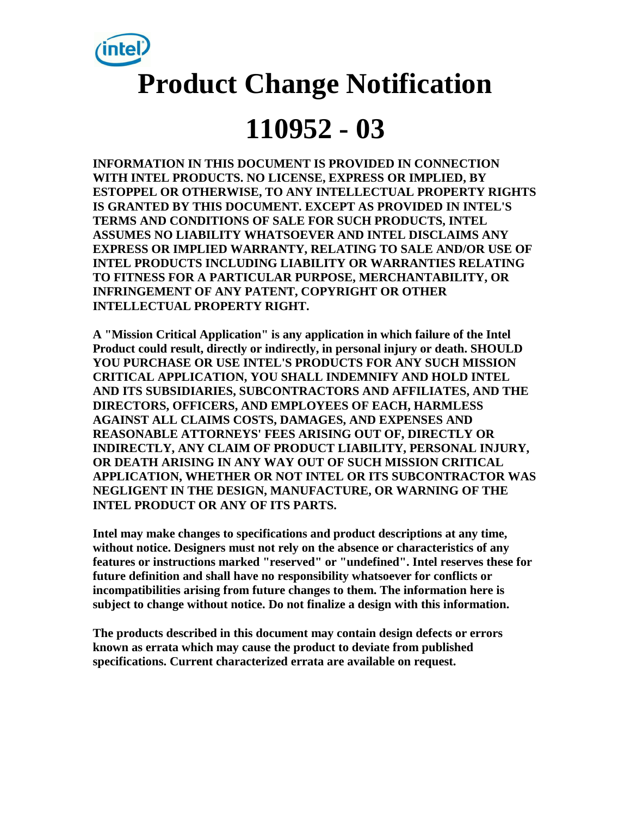

# **Product Change Notification**

## **110952 - 03**

**INFORMATION IN THIS DOCUMENT IS PROVIDED IN CONNECTION WITH INTEL PRODUCTS. NO LICENSE, EXPRESS OR IMPLIED, BY ESTOPPEL OR OTHERWISE, TO ANY INTELLECTUAL PROPERTY RIGHTS IS GRANTED BY THIS DOCUMENT. EXCEPT AS PROVIDED IN INTEL'S TERMS AND CONDITIONS OF SALE FOR SUCH PRODUCTS, INTEL ASSUMES NO LIABILITY WHATSOEVER AND INTEL DISCLAIMS ANY EXPRESS OR IMPLIED WARRANTY, RELATING TO SALE AND/OR USE OF INTEL PRODUCTS INCLUDING LIABILITY OR WARRANTIES RELATING TO FITNESS FOR A PARTICULAR PURPOSE, MERCHANTABILITY, OR INFRINGEMENT OF ANY PATENT, COPYRIGHT OR OTHER INTELLECTUAL PROPERTY RIGHT.**

**A "Mission Critical Application" is any application in which failure of the Intel Product could result, directly or indirectly, in personal injury or death. SHOULD YOU PURCHASE OR USE INTEL'S PRODUCTS FOR ANY SUCH MISSION CRITICAL APPLICATION, YOU SHALL INDEMNIFY AND HOLD INTEL AND ITS SUBSIDIARIES, SUBCONTRACTORS AND AFFILIATES, AND THE DIRECTORS, OFFICERS, AND EMPLOYEES OF EACH, HARMLESS AGAINST ALL CLAIMS COSTS, DAMAGES, AND EXPENSES AND REASONABLE ATTORNEYS' FEES ARISING OUT OF, DIRECTLY OR INDIRECTLY, ANY CLAIM OF PRODUCT LIABILITY, PERSONAL INJURY, OR DEATH ARISING IN ANY WAY OUT OF SUCH MISSION CRITICAL APPLICATION, WHETHER OR NOT INTEL OR ITS SUBCONTRACTOR WAS NEGLIGENT IN THE DESIGN, MANUFACTURE, OR WARNING OF THE INTEL PRODUCT OR ANY OF ITS PARTS.**

**Intel may make changes to specifications and product descriptions at any time, without notice. Designers must not rely on the absence or characteristics of any features or instructions marked "reserved" or "undefined". Intel reserves these for future definition and shall have no responsibility whatsoever for conflicts or incompatibilities arising from future changes to them. The information here is subject to change without notice. Do not finalize a design with this information.**

**The products described in this document may contain design defects or errors known as errata which may cause the product to deviate from published specifications. Current characterized errata are available on request.**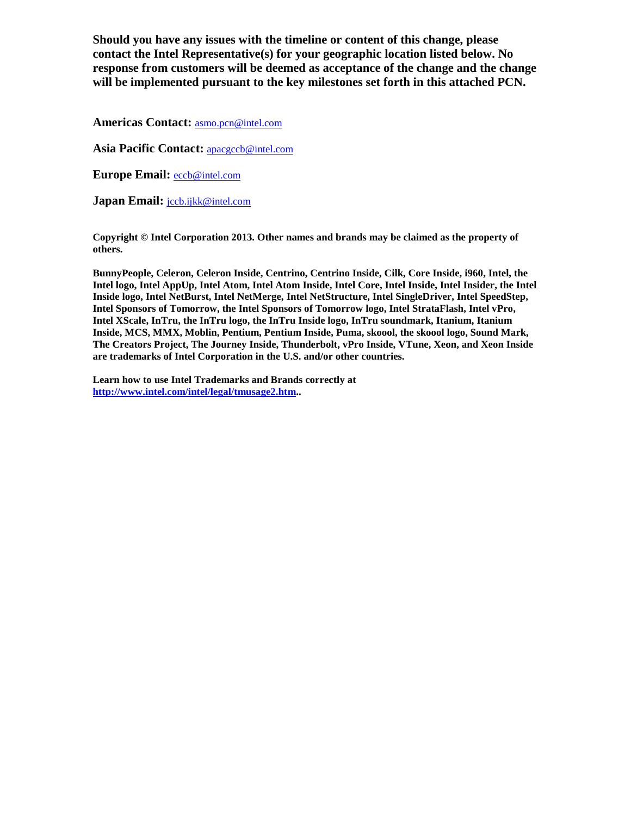**Should you have any issues with the timeline or content of this change, please contact the Intel Representative(s) for your geographic location listed below. No response from customers will be deemed as acceptance of the change and the change will be implemented pursuant to the key milestones set forth in this attached PCN.** 

**Americas Contact:** [asmo.pcn@intel.com](mailto:asmo.pcn@intel.com) 

Asia Pacific Contact: **apacgccb@intel.com** 

**Europe Email:** [eccb@intel.com](mailto:eccb@intel.com) 

**Japan Email:** [jccb.ijkk@intel.com](mailto:jccb.ijkk@intel.com) 

**Copyright © Intel Corporation 2013. Other names and brands may be claimed as the property of others.**

**BunnyPeople, Celeron, Celeron Inside, Centrino, Centrino Inside, Cilk, Core Inside, i960, Intel, the Intel logo, Intel AppUp, Intel Atom, Intel Atom Inside, Intel Core, Intel Inside, Intel Insider, the Intel Inside logo, Intel NetBurst, Intel NetMerge, Intel NetStructure, Intel SingleDriver, Intel SpeedStep, Intel Sponsors of Tomorrow, the Intel Sponsors of Tomorrow logo, Intel StrataFlash, Intel vPro, Intel XScale, InTru, the InTru logo, the InTru Inside logo, InTru soundmark, Itanium, Itanium Inside, MCS, MMX, Moblin, Pentium, Pentium Inside, Puma, skoool, the skoool logo, Sound Mark, The Creators Project, The Journey Inside, Thunderbolt, vPro Inside, VTune, Xeon, and Xeon Inside are trademarks of Intel Corporation in the U.S. and/or other countries.**

**Learn how to use Intel Trademarks and Brands correctly at [http://www.intel.com/intel/legal/tmusage2.htm..](http://www.intel.com/intel/legal/tmusage2.htm)**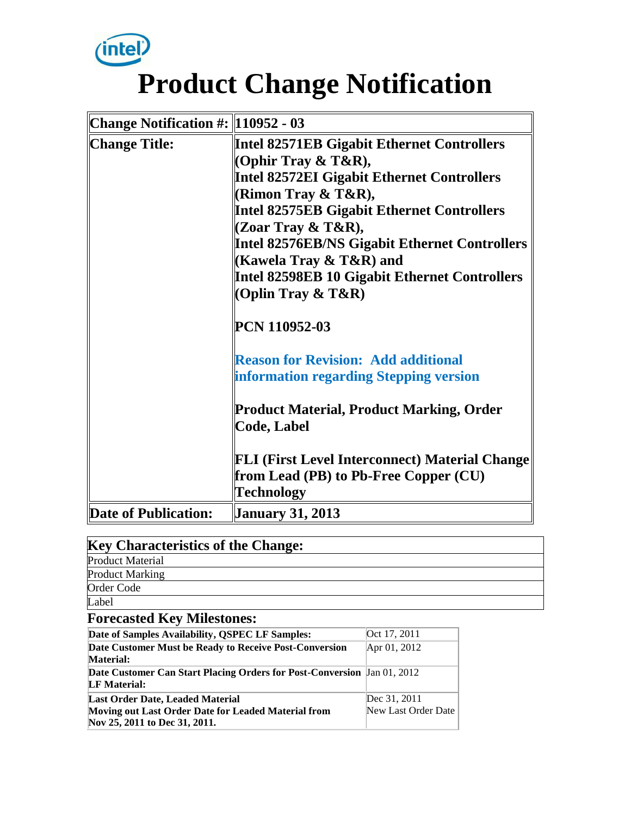

# **Product Change Notification**

| <b>Change Notification #: 110952 - 03</b> |                                                                       |
|-------------------------------------------|-----------------------------------------------------------------------|
| <b>Change Title:</b>                      | <b>Intel 82571EB Gigabit Ethernet Controllers</b>                     |
|                                           | (Ophir Tray $\&$ T&R),                                                |
|                                           | <b>Intel 82572EI Gigabit Ethernet Controllers</b>                     |
|                                           | (Rimon Tray $\&$ T $\&$ R),                                           |
|                                           | <b>Intel 82575EB Gigabit Ethernet Controllers</b>                     |
|                                           | (Zoar Tray & T&R),                                                    |
|                                           | <b>Intel 82576EB/NS Gigabit Ethernet Controllers</b>                  |
|                                           | (Kawela Tray & T&R) and                                               |
|                                           | Intel 82598EB 10 Gigabit Ethernet Controllers                         |
|                                           | (Oplin Tray $\&$ T $\&$ R)                                            |
|                                           | PCN 110952-03                                                         |
|                                           | <b>Reason for Revision: Add additional</b>                            |
|                                           | information regarding Stepping version                                |
|                                           | <b>Product Material, Product Marking, Order</b><br><b>Code, Label</b> |
|                                           |                                                                       |
|                                           | <b>FLI (First Level Interconnect) Material Change</b>                 |
|                                           | from Lead (PB) to Pb-Free Copper (CU)                                 |
|                                           | <b>Technology</b>                                                     |
| Date of Publication:                      | <b>January 31, 2013</b>                                               |

| <b>Key Characteristics of the Change:</b> |  |
|-------------------------------------------|--|
| <b>Product Material</b>                   |  |
| <b>Product Marking</b>                    |  |
| Order Code                                |  |
| Label                                     |  |
| <b>Forecasted Key Milestones:</b>         |  |

| Date of Samples Availability, QSPEC LF Samples:                                                                          | Oct 17, 2011                        |
|--------------------------------------------------------------------------------------------------------------------------|-------------------------------------|
| Date Customer Must be Ready to Receive Post-Conversion<br><b>Material:</b>                                               | Apr 01, 2012                        |
| <b>Date Customer Can Start Placing Orders for Post-Conversion</b> Jan 01, 2012<br><b>LF</b> Material:                    |                                     |
| Last Order Date, Leaded Material<br>Moving out Last Order Date for Leaded Material from<br>Nov 25, 2011 to Dec 31, 2011. | Dec 31, 2011<br>New Last Order Date |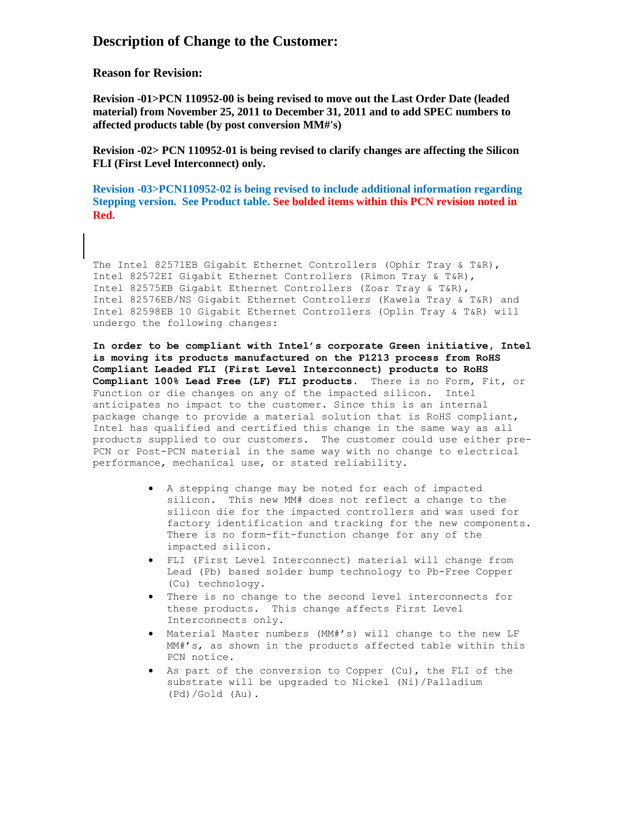#### **Description of Change to the Customer:**

**Reason for Revision:**

**Revision -01>PCN 110952-00 is being revised to move out the Last Order Date (leaded material) from November 25, 2011 to December 31, 2011 and to add SPEC numbers to affected products table (by post conversion MM#'s)**

**Revision -02> PCN 110952-01 is being revised to clarify changes are affecting the Silicon FLI (First Level Interconnect) only.** 

**Revision -03>PCN110952-02 is being revised to include additional information regarding Stepping version. See Product table. See bolded items within this PCN revision noted in Red.**

The Intel 82571EB Gigabit Ethernet Controllers (Ophir Tray & T&R), Intel 82572EI Gigabit Ethernet Controllers (Rimon Tray & T&R), Intel 82575EB Gigabit Ethernet Controllers (Zoar Tray & T&R), Intel 82576EB/NS Gigabit Ethernet Controllers (Kawela Tray & T&R) and Intel 82598EB 10 Gigabit Ethernet Controllers (Oplin Tray & T&R) will undergo the following changes:

**In order to be compliant with Intel's corporate Green initiative, Intel is moving its products manufactured on the P1213 process from RoHS Compliant Leaded FLI (First Level Interconnect) products to RoHS Compliant 100% Lead Free (LF) FLI products.** There is no Form, Fit, or Function or die changes on any of the impacted silicon. Intel anticipates no impact to the customer. Since this is an internal package change to provide a material solution that is RoHS compliant, Intel has qualified and certified this change in the same way as all products supplied to our customers. The customer could use either pre-PCN or Post-PCN material in the same way with no change to electrical performance, mechanical use, or stated reliability.

- A stepping change may be noted for each of impacted silicon. This new MM# does not reflect a change to the silicon die for the impacted controllers and was used for factory identification and tracking for the new components. There is no form-fit-function change for any of the impacted silicon.
- FLI (First Level Interconnect) material will change from Lead (Pb) based solder bump technology to Pb-Free Copper (Cu) technology.
- There is no change to the second level interconnects for these products. This change affects First Level Interconnects only.
- Material Master numbers (MM#'s) will change to the new LF MM#'s, as shown in the products affected table within this PCN notice.
- As part of the conversion to Copper (Cu), the FLI of the substrate will be upgraded to Nickel (Ni)/Palladium (Pd)/Gold (Au).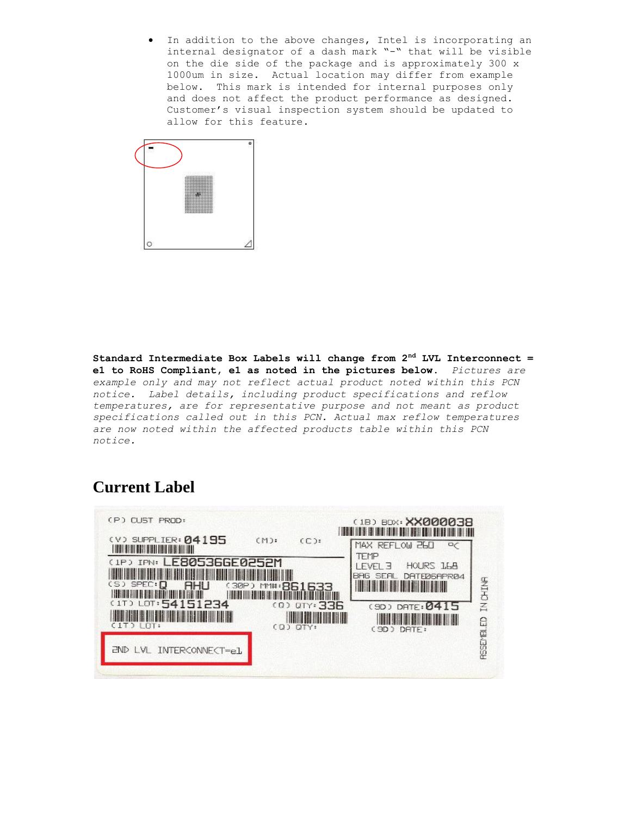In addition to the above changes, Intel is incorporating an internal designator of a dash mark "-" that will be visible on the die side of the package and is approximately 300 x 1000um in size. Actual location may differ from example below. This mark is intended for internal purposes only and does not affect the product performance as designed. Customer's visual inspection system should be updated to allow for this feature.



**Standard Intermediate Box Labels will change from 2nd LVL Interconnect = e1 to RoHS Compliant, e1 as noted in the pictures below.** *Pictures are example only and may not reflect actual product noted within this PCN notice. Label details, including product specifications and reflow temperatures, are for representative purpose and not meant as product specifications called out in this PCN. Actual max reflow temperatures are now noted within the affected products table within this PCN notice.*

#### **Current Label**

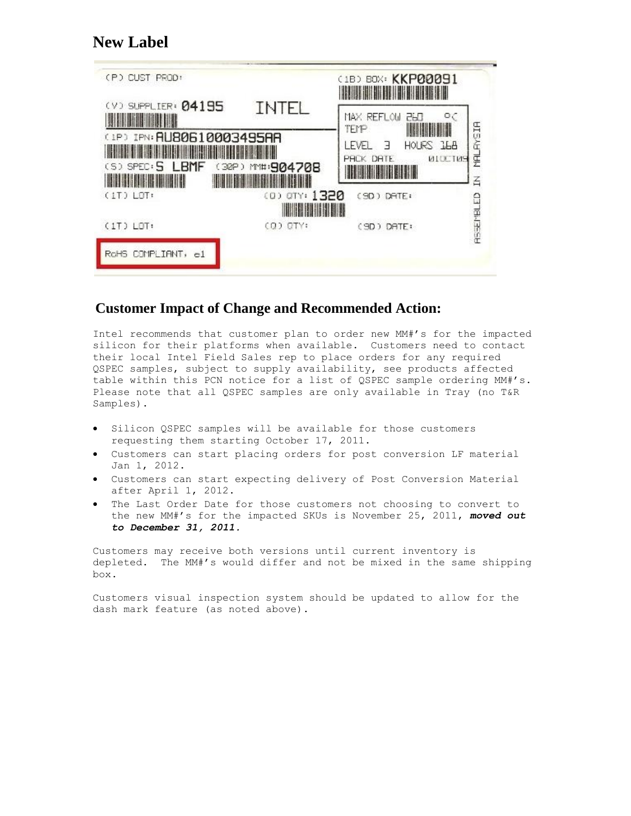#### **New Label**

| (P) CUST PROD:                                                  |                   | (1B) BOX: KKP00091<br><b>THE REAL PROPERTY</b>                          |
|-----------------------------------------------------------------|-------------------|-------------------------------------------------------------------------|
| (V) SUPPLIER: 04195<br><u>an ministra</u>                       | <b>INTEL</b>      | $\circ$<br>250<br>MAX REFLOW<br><b>TEMP</b>                             |
| (1P) IPN: RU80610003495RR<br>$(5)$ SPEC: $\overline{5}$<br>LBMF | (32P) MM#: 904708 | MALAYSIA<br>LEVEL<br>HOURS ILA<br>Е<br><b>NICCINE</b><br>PHCK DATE<br>叾 |
| $(1T)$ $LT$                                                     | (0) OTY: 1320     | (SD) DATE:<br><b>RESERVELED</b>                                         |
| $(1T)$ $LOT:$                                                   | (Q) CTY:          | (SD) DATE:                                                              |
| COMPLIANT,<br>RoHS<br>еl                                        |                   |                                                                         |

#### **Customer Impact of Change and Recommended Action:**

Intel recommends that customer plan to order new MM#'s for the impacted silicon for their platforms when available. Customers need to contact their local Intel Field Sales rep to place orders for any required QSPEC samples, subject to supply availability, see products affected table within this PCN notice for a list of QSPEC sample ordering MM#'s. Please note that all QSPEC samples are only available in Tray (no T&R Samples).

- Silicon QSPEC samples will be available for those customers requesting them starting October 17, 2011.
- Customers can start placing orders for post conversion LF material Jan 1, 2012.
- Customers can start expecting delivery of Post Conversion Material after April 1, 2012.
- The Last Order Date for those customers not choosing to convert to the new MM#'s for the impacted SKUs is November 25, 2011, *moved out to December 31, 2011.*

Customers may receive both versions until current inventory is depleted. The MM#'s would differ and not be mixed in the same shipping box.

Customers visual inspection system should be updated to allow for the dash mark feature (as noted above).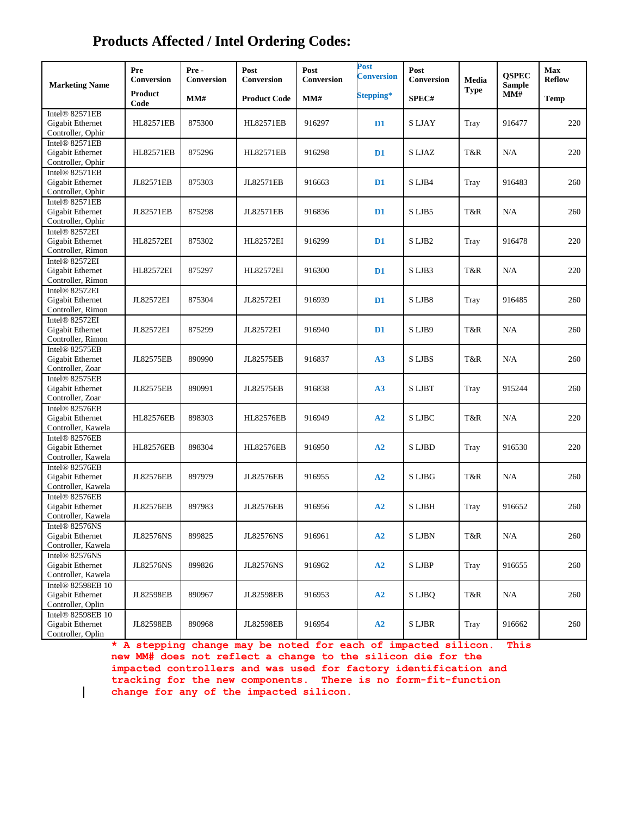### **Products Affected / Intel Ordering Codes:**

| <b>Marketing Name</b>                                                  | Pre<br>Conversion      | Pre-<br>Conversion | Post<br>Conversion  | Post<br>Conversion | Post<br><b>Conversion</b> | Post<br>Conversion | Media<br><b>Type</b> | <b>QSPEC</b><br><b>Sample</b><br>MM# | Max<br><b>Reflow</b> |
|------------------------------------------------------------------------|------------------------|--------------------|---------------------|--------------------|---------------------------|--------------------|----------------------|--------------------------------------|----------------------|
|                                                                        | <b>Product</b><br>Code | MM#                | <b>Product Code</b> | MM#                | Stepping*                 | SPEC#              |                      |                                      | <b>Temp</b>          |
| Intel® 82571EB<br>Gigabit Ethernet<br>Controller, Ophir                | <b>HL82571EB</b>       | 875300             | <b>HL82571EB</b>    | 916297             | $\mathbf{D}1$             | S LJAY             | Tray                 | 916477                               | 220                  |
| Intel <sup>®</sup> 82571EB<br>Gigabit Ethernet<br>Controller, Ophir    | <b>HL82571EB</b>       | 875296             | <b>HL82571EB</b>    | 916298             | D <sub>1</sub>            | S LJAZ             | T&R                  | N/A                                  | 220                  |
| Intel® 82571EB<br>Gigabit Ethernet<br>Controller, Ophir                | JL82571EB              | 875303             | <b>JL82571EB</b>    | 916663             | D <sub>1</sub>            | S LJB4             | Tray                 | 916483                               | 260                  |
| Intel® 82571EB<br>Gigabit Ethernet<br>Controller, Ophir                | <b>JL82571EB</b>       | 875298             | JL82571EB           | 916836             | $\mathbf{D}1$             | SLJB5              | T&R                  | N/A                                  | 260                  |
| Intel® 82572EI<br>Gigabit Ethernet<br>Controller, Rimon                | <b>HL82572EI</b>       | 875302             | <b>HL82572EI</b>    | 916299             | D <sub>1</sub>            | S LJB2             | Tray                 | 916478                               | 220                  |
| Intel® 82572EI<br>Gigabit Ethernet<br>Controller, Rimon                | <b>HL82572EI</b>       | 875297             | <b>HL82572EI</b>    | 916300             | $\mathbf{D}1$             | SLJB3              | T&R                  | N/A                                  | 220                  |
| Intel <sup>®</sup> 82572EI<br>Gigabit Ethernet<br>Controller, Rimon    | JI 82572EI             | 875304             | <b>JL82572EI</b>    | 916939             | $\mathbf{D}1$             | SLJB8              | Tray                 | 916485                               | 260                  |
| Intel <sup>®</sup> 82572EI<br>Gigabit Ethernet<br>Controller, Rimon    | <b>JL82572EI</b>       | 875299             | JL82572EI           | 916940             | $\mathbf{D}1$             | SLJB9              | T&R                  | N/A                                  | 260                  |
| Intel® 82575EB<br>Gigabit Ethernet<br>Controller, Zoar                 | <b>JL82575EB</b>       | 890990             | JL82575EB           | 916837             | A3                        | S LJBS             | T&R                  | N/A                                  | 260                  |
| Intel <sup>®</sup> 82575EB<br>Gigabit Ethernet<br>Controller, Zoar     | <b>JL82575EB</b>       | 890991             | <b>JL82575EB</b>    | 916838             | A3                        | S LJBT             | Tray                 | 915244                               | 260                  |
| Intel® 82576EB<br>Gigabit Ethernet<br>Controller, Kawela               | <b>HL82576EB</b>       | 898303             | <b>HL82576EB</b>    | 916949             | A2                        | <b>SLJBC</b>       | T&R                  | N/A                                  | 220                  |
| Intel® 82576EB<br>Gigabit Ethernet<br>Controller, Kawela               | <b>HL82576EB</b>       | 898304             | <b>HL82576EB</b>    | 916950             | A2                        | <b>SLJBD</b>       | Tray                 | 916530                               | 220                  |
| Intel® 82576EB<br>Gigabit Ethernet<br>Controller, Kawela               | <b>JL82576EB</b>       | 897979             | <b>JL82576EB</b>    | 916955             | A2                        | <b>SLJBG</b>       | T&R                  | N/A                                  | 260                  |
| Intel® 82576EB<br><b>Gigabit Ethernet</b><br>Controller, Kawela        | <b>JL82576EB</b>       | 897983             | <b>JL82576EB</b>    | 916956             | A2                        | <b>SLJBH</b>       | Tray                 | 916652                               | 260                  |
| Intel® 82576NS<br>Gigabit Ethernet<br>Controller, Kawela               | <b>JL82576NS</b>       | 899825             | <b>JL82576NS</b>    | 916961             | A2                        | <b>SLJBN</b>       | T&R                  | N/A                                  | 260                  |
| Intel® 82576NS<br>Gigabit Ethernet<br>Controller, Kawela               | <b>JL82576NS</b>       | 899826             | <b>JL82576NS</b>    | 916962             | A2                        | S LJBP             | Tray                 | 916655                               | 260                  |
| Intel <sup>®</sup> 82598EB 10<br>Gigabit Ethernet<br>Controller, Oplin | <b>JL82598EB</b>       | 890967             | <b>JL82598EB</b>    | 916953             | ${\bf A2}$                | S LJBO             | T&R                  | N/A                                  | 260                  |
| Intel® 82598EB 10<br>Gigabit Ethernet<br>Controller, Oplin             | <b>JL82598EB</b>       | 890968             | <b>JL82598EB</b>    | 916954             | ${\bf A2}$                | S LJBR             | Tray                 | 916662                               | 260                  |

**\* A stepping change may be noted for each of impacted silicon. This new MM# does not reflect a change to the silicon die for the impacted controllers and was used for factory identification and tracking for the new components. There is no form-fit-function change for any of the impacted silicon.**

 $\mathbf{I}$